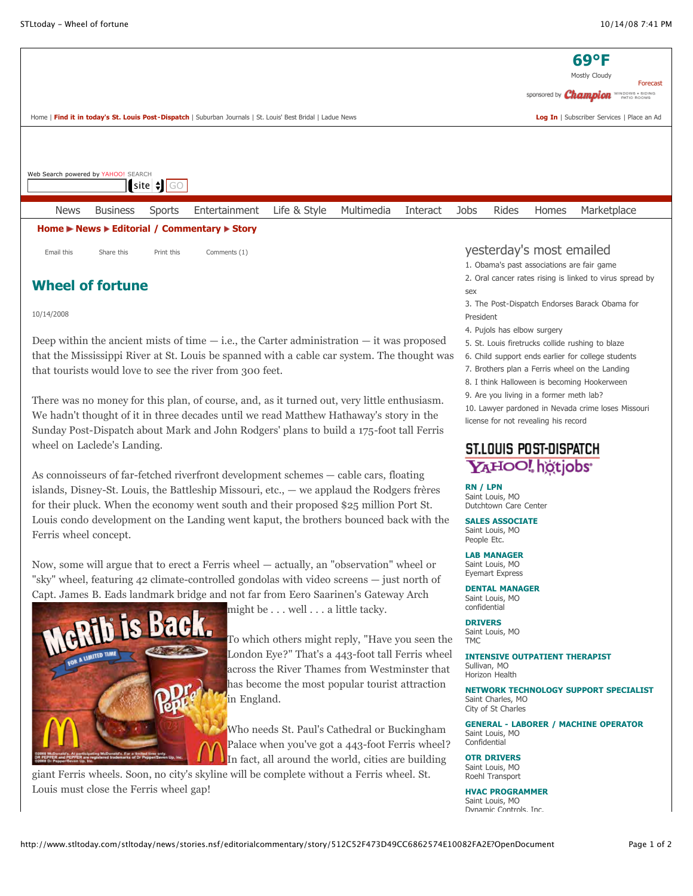

 $\left| \right|$  site  $\left| \right|$  GO Web Search powered by YAHOO! SEARCH

|                                                                                                          | <b>News</b> | <b>Business</b> |            | Sports Entertainment Life & Style Multimedia |  |  | Interact Jobs Rides |  |  | Homes                    | Marketplace |  |
|----------------------------------------------------------------------------------------------------------|-------------|-----------------|------------|----------------------------------------------|--|--|---------------------|--|--|--------------------------|-------------|--|
| Home $\blacktriangleright$ News $\blacktriangleright$ Editorial / Commentary $\blacktriangleright$ Story |             |                 |            |                                              |  |  |                     |  |  |                          |             |  |
|                                                                                                          | Email this  | Share this      | Print this | Comments (1)                                 |  |  |                     |  |  | yesterday's most emailed |             |  |

# **Wheel of fortune**

## 10/14/2008

Deep within the ancient mists of time  $-$  i.e., the Carter administration  $-$  it was proposed that the Mississippi River at St. Louis be spanned with a cable car system. The thought was that tourists would love to see the river from 300 feet.

There was no money for this plan, of course, and, as it turned out, very little enthusiasm. We hadn't thought of it in three decades until we read Matthew Hathaway's story in the Sunday Post-Dispatch about Mark and John Rodgers' plans to build a 175-foot tall Ferris wheel on Laclede's Landing.

As connoisseurs of far-fetched riverfront development schemes — cable cars, floating islands, Disney-St. Louis, the Battleship Missouri, etc., — we applaud the Rodgers frères for their pluck. When the economy went south and their proposed \$25 million Port St. Louis condo development on the Landing went kaput, the brothers bounced back with the Ferris wheel concept.

Now, some will argue that to erect a Ferris wheel — actually, an "observation" wheel or "sky" wheel, featuring 42 climate-controlled gondolas with video screens — just north of Capt. James B. Eads landmark bridge and not far from Eero Saarinen's Gateway Arch



might be . . . well . . . a little tacky.

To which others might reply, "Have you seen the London Eye?" That's a 443-foot tall Ferris wheel across the River Thames from Westminster that has become the most popular tourist attraction in England.

Who needs St. Paul's Cathedral or Buckingham Palace when you've got a 443-foot Ferris wheel? In fact, all around the world, cities are building

giant Ferris wheels. Soon, no city's skyline will be complete without a Ferris wheel. St. Louis must close the Ferris wheel gap!

## yesterday's most emailed

- 1. [Obama's past associations are fair game](http://www.stltoday.com/stltoday/news/columnists.nsf/charleskrauthammer/story/2104743F39BF507F862574DE0081D2E4?OpenDocument)
- [2. Oral cancer rates rising is linked to virus spread by](http://www.stltoday.com/stltoday/news/stories.nsf/stlouiscitycounty/story/CBCBE32A5F7BC97A862574E1000F9770?OpenDocument) sex
- [3. The Post-Dispatch Endorses Barack Obama for](http://www.stltoday.com/stltoday/news/stories.nsf/editorialcommentary/story/B1F99407E81F92DB862574DF00716259?OpenDocument) President
- 4. [Pujols has elbow surgery](http://www.stltoday.com/stltoday/sports/stories.nsf/cardinals/story/76A324535BB59346862574E10074F720?OpenDocument)
- 5. [St. Louis firetrucks collide rushing to blaze](http://www.stltoday.com/stltoday/news/stories.nsf/stlouiscitycounty/story/D5B5AC42F0FE4439862574DF00128EC2?OpenDocument)
- 6. [Child support ends earlier for college students](http://www.stltoday.com/stltoday/news/stories.nsf/education/story/1836B7B042F864EE862574DD000C0F93?OpenDocument)
- 7. [Brothers plan a Ferris wheel on the Landing](http://www.stltoday.com/stltoday/news/stories.nsf/stlouiscitycounty/story/AAC27065D9A56507862574DF0016ADF5?OpenDocument)
- 8. [I think Halloween is becoming Hookerween](http://www.stltoday.com/stltoday/lifestyle/columnists.nsf/suburbanfringe/story/DC1385A08FE339CA862574D3006CBE09?OpenDocument)
- 9. [Are you living in a former meth lab?](http://www.stltoday.com/stltoday/news/stories.nsf/stlouiscitycounty/story/35F16EA802D11D50862574DF002C83DA?OpenDocument)

[10. Lawyer pardoned in Nevada crime loses Missouri](http://www.stltoday.com/stltoday/news/stories.nsf/stlouiscitycounty/story/AE57EB25410C13A3862574E1000C9358?OpenDocument) license for not revealing his record

# St.Louis Post-Dispatch YAHOO! hotiobs

#### **[RN / LPN](http://hotjobs.yahoo.com/jobseeker/jobsearch/search_results.html?keywords_all=9317886&detailed_display=1&partner=stlouis)** Saint Louis, MO

Dutchtown Care Center

**[SALES ASSOCIATE](http://hotjobs.yahoo.com/jobseeker/jobsearch/search_results.html?keywords_all=9316982&detailed_display=1&partner=stlouis)** Saint Louis, MO People Etc.

### **[LAB MANAGER](http://hotjobs.yahoo.com/jobseeker/jobsearch/search_results.html?keywords_all=9310457&detailed_display=1&partner=stlouis)** Saint Louis, MO Eyemart Express

**[DENTAL MANAGER](http://hotjobs.yahoo.com/jobseeker/jobsearch/search_results.html?keywords_all=9308048&detailed_display=1&partner=stlouis)** Saint Louis, MO confidential

**[DRIVERS](http://hotjobs.yahoo.com/jobseeker/jobsearch/search_results.html?keywords_all=9307214&detailed_display=1&partner=stlouis)** Saint Louis, MO TMC

**[INTENSIVE OUTPATIENT THERAPIST](http://hotjobs.yahoo.com/jobseeker/jobsearch/search_results.html?keywords_all=9303007&detailed_display=1&partner=stlouis)** Sullivan, MO Horizon Health

**[NETWORK TECHNOLOGY SUPPORT SPECIALIST](http://hotjobs.yahoo.com/jobseeker/jobsearch/search_results.html?keywords_all=9291557&detailed_display=1&partner=stlouis)** Saint Charles, MO City of St Charles

**[GENERAL - LABORER / MACHINE OPERATOR](http://hotjobs.yahoo.com/jobseeker/jobsearch/search_results.html?keywords_all=9289535&detailed_display=1&partner=stlouis)** Saint Louis, MO Confidential

**[OTR DRIVERS](http://hotjobs.yahoo.com/jobseeker/jobsearch/search_results.html?keywords_all=9288976&detailed_display=1&partner=stlouis)** Saint Louis, MO Roehl Transport

## **[HVAC PROGRAMMER](http://hotjobs.yahoo.com/jobseeker/jobsearch/search_results.html?keywords_all=9306549&detailed_display=1&partner=stlouis)** Saint Louis, MO

Dynamic Controls, Inc.